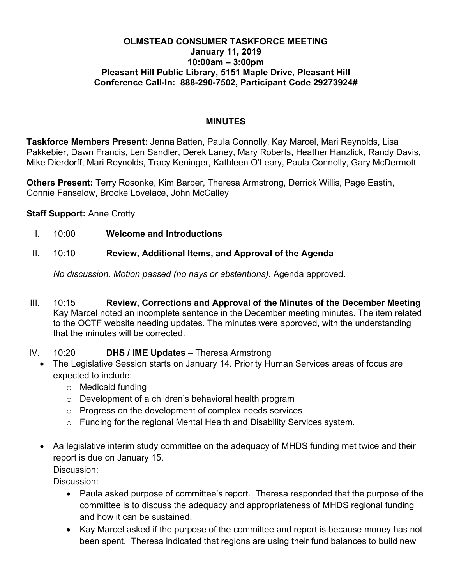#### **OLMSTEAD CONSUMER TASKFORCE MEETING January 11, 2019 10:00am – 3:00pm Pleasant Hill Public Library, 5151 Maple Drive, Pleasant Hill Conference Call-In: 888-290-7502, Participant Code 29273924#**

#### **MINUTES**

**Taskforce Members Present:** Jenna Batten, Paula Connolly, Kay Marcel, Mari Reynolds, Lisa Pakkebier, Dawn Francis, Len Sandler, Derek Laney, Mary Roberts, Heather Hanzlick, Randy Davis, Mike Dierdorff, Mari Reynolds, Tracy Keninger, Kathleen O'Leary, Paula Connolly, Gary McDermott

**Others Present:** Terry Rosonke, Kim Barber, Theresa Armstrong, Derrick Willis, Page Eastin, Connie Fanselow, Brooke Lovelace, John McCalley

**Staff Support:** Anne Crotty

- I. 10:00 **Welcome and Introductions**
- II. 10:10 **Review, Additional Items, and Approval of the Agenda**

*No discussion. Motion passed (no nays or abstentions).* Agenda approved.

- III. 10:15 **Review, Corrections and Approval of the Minutes of the December Meeting** Kay Marcel noted an incomplete sentence in the December meeting minutes. The item related to the OCTF website needing updates. The minutes were approved, with the understanding that the minutes will be corrected.
- IV. 10:20 **DHS / IME Updates** Theresa Armstrong
	- The Legislative Session starts on January 14. Priority Human Services areas of focus are expected to include:
		- o Medicaid funding
		- o Development of a children's behavioral health program
		- o Progress on the development of complex needs services
		- o Funding for the regional Mental Health and Disability Services system.
	- Aa legislative interim study committee on the adequacy of MHDS funding met twice and their report is due on January 15. Discussion:

Discussion:

- Paula asked purpose of committee's report. Theresa responded that the purpose of the committee is to discuss the adequacy and appropriateness of MHDS regional funding and how it can be sustained.
- Kay Marcel asked if the purpose of the committee and report is because money has not been spent. Theresa indicated that regions are using their fund balances to build new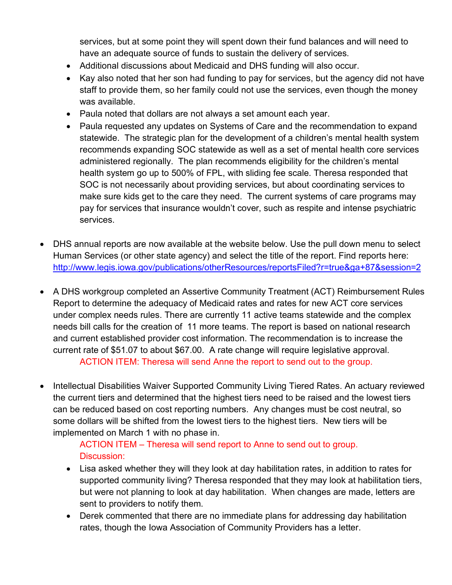services, but at some point they will spent down their fund balances and will need to have an adequate source of funds to sustain the delivery of services.

- Additional discussions about Medicaid and DHS funding will also occur.
- Kay also noted that her son had funding to pay for services, but the agency did not have staff to provide them, so her family could not use the services, even though the money was available.
- Paula noted that dollars are not always a set amount each year.
- Paula requested any updates on Systems of Care and the recommendation to expand statewide. The strategic plan for the development of a children's mental health system recommends expanding SOC statewide as well as a set of mental health core services administered regionally. The plan recommends eligibility for the children's mental health system go up to 500% of FPL, with sliding fee scale. Theresa responded that SOC is not necessarily about providing services, but about coordinating services to make sure kids get to the care they need. The current systems of care programs may pay for services that insurance wouldn't cover, such as respite and intense psychiatric services.
- DHS annual reports are now available at the website below. Use the pull down menu to select Human Services (or other state agency) and select the title of the report. Find reports here: http://www.legis.iowa.gov/publications/otherResources/reportsFiled?r=true&ga+87&session=2
- A DHS workgroup completed an Assertive Community Treatment (ACT) Reimbursement Rules Report to determine the adequacy of Medicaid rates and rates for new ACT core services under complex needs rules. There are currently 11 active teams statewide and the complex needs bill calls for the creation of 11 more teams. The report is based on national research and current established provider cost information. The recommendation is to increase the current rate of \$51.07 to about \$67.00. A rate change will require legislative approval. ACTION ITEM: Theresa will send Anne the report to send out to the group.
- Intellectual Disabilities Waiver Supported Community Living Tiered Rates. An actuary reviewed the current tiers and determined that the highest tiers need to be raised and the lowest tiers can be reduced based on cost reporting numbers. Any changes must be cost neutral, so some dollars will be shifted from the lowest tiers to the highest tiers. New tiers will be implemented on March 1 with no phase in.

ACTION ITEM – Theresa will send report to Anne to send out to group. Discussion:

- Lisa asked whether they will they look at day habilitation rates, in addition to rates for supported community living? Theresa responded that they may look at habilitation tiers, but were not planning to look at day habilitation. When changes are made, letters are sent to providers to notify them.
- Derek commented that there are no immediate plans for addressing day habilitation rates, though the Iowa Association of Community Providers has a letter.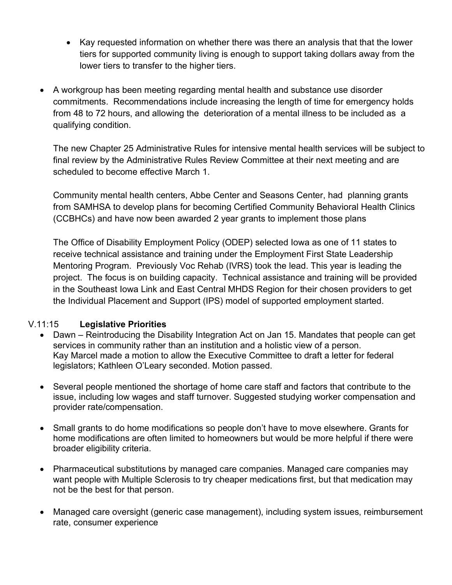- Kay requested information on whether there was there an analysis that that the lower tiers for supported community living is enough to support taking dollars away from the lower tiers to transfer to the higher tiers.
- A workgroup has been meeting regarding mental health and substance use disorder commitments. Recommendations include increasing the length of time for emergency holds from 48 to 72 hours, and allowing the deterioration of a mental illness to be included as a qualifying condition.

The new Chapter 25 Administrative Rules for intensive mental health services will be subject to final review by the Administrative Rules Review Committee at their next meeting and are scheduled to become effective March 1.

Community mental health centers, Abbe Center and Seasons Center, had planning grants from SAMHSA to develop plans for becoming Certified Community Behavioral Health Clinics (CCBHCs) and have now been awarded 2 year grants to implement those plans

The Office of Disability Employment Policy (ODEP) selected Iowa as one of 11 states to receive technical assistance and training under the Employment First State Leadership Mentoring Program. Previously Voc Rehab (IVRS) took the lead. This year is leading the project. The focus is on building capacity. Technical assistance and training will be provided in the Southeast Iowa Link and East Central MHDS Region for their chosen providers to get the Individual Placement and Support (IPS) model of supported employment started.

### V.11:15 **Legislative Priorities**

- Dawn Reintroducing the Disability Integration Act on Jan 15. Mandates that people can get services in community rather than an institution and a holistic view of a person. Kay Marcel made a motion to allow the Executive Committee to draft a letter for federal legislators; Kathleen O'Leary seconded. Motion passed.
- Several people mentioned the shortage of home care staff and factors that contribute to the issue, including low wages and staff turnover. Suggested studying worker compensation and provider rate/compensation.
- Small grants to do home modifications so people don't have to move elsewhere. Grants for home modifications are often limited to homeowners but would be more helpful if there were broader eligibility criteria.
- Pharmaceutical substitutions by managed care companies. Managed care companies may want people with Multiple Sclerosis to try cheaper medications first, but that medication may not be the best for that person.
- Managed care oversight (generic case management), including system issues, reimbursement rate, consumer experience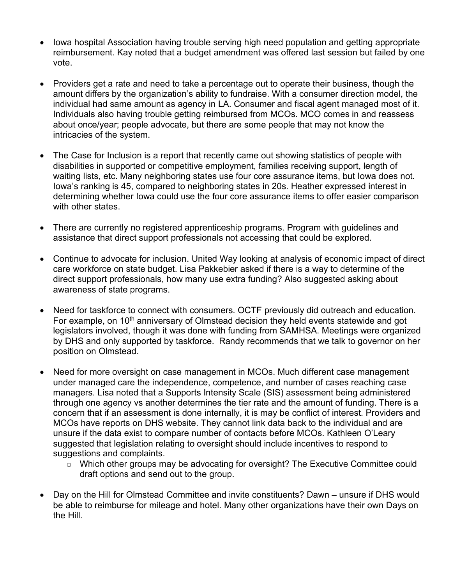- Iowa hospital Association having trouble serving high need population and getting appropriate reimbursement. Kay noted that a budget amendment was offered last session but failed by one vote.
- Providers get a rate and need to take a percentage out to operate their business, though the amount differs by the organization's ability to fundraise. With a consumer direction model, the individual had same amount as agency in LA. Consumer and fiscal agent managed most of it. Individuals also having trouble getting reimbursed from MCOs. MCO comes in and reassess about once/year; people advocate, but there are some people that may not know the intricacies of the system.
- The Case for Inclusion is a report that recently came out showing statistics of people with disabilities in supported or competitive employment, families receiving support, length of waiting lists, etc. Many neighboring states use four core assurance items, but Iowa does not. Iowa's ranking is 45, compared to neighboring states in 20s. Heather expressed interest in determining whether Iowa could use the four core assurance items to offer easier comparison with other states.
- There are currently no registered apprenticeship programs. Program with guidelines and assistance that direct support professionals not accessing that could be explored.
- Continue to advocate for inclusion. United Way looking at analysis of economic impact of direct care workforce on state budget. Lisa Pakkebier asked if there is a way to determine of the direct support professionals, how many use extra funding? Also suggested asking about awareness of state programs.
- Need for taskforce to connect with consumers. OCTF previously did outreach and education. For example, on  $10<sup>th</sup>$  anniversary of Olmstead decision they held events statewide and got legislators involved, though it was done with funding from SAMHSA. Meetings were organized by DHS and only supported by taskforce. Randy recommends that we talk to governor on her position on Olmstead.
- Need for more oversight on case management in MCOs. Much different case management under managed care the independence, competence, and number of cases reaching case managers. Lisa noted that a Supports Intensity Scale (SIS) assessment being administered through one agency vs another determines the tier rate and the amount of funding. There is a concern that if an assessment is done internally, it is may be conflict of interest. Providers and MCOs have reports on DHS website. They cannot link data back to the individual and are unsure if the data exist to compare number of contacts before MCOs. Kathleen O'Leary suggested that legislation relating to oversight should include incentives to respond to suggestions and complaints.
	- o Which other groups may be advocating for oversight? The Executive Committee could draft options and send out to the group.
- Day on the Hill for Olmstead Committee and invite constituents? Dawn unsure if DHS would be able to reimburse for mileage and hotel. Many other organizations have their own Days on the Hill.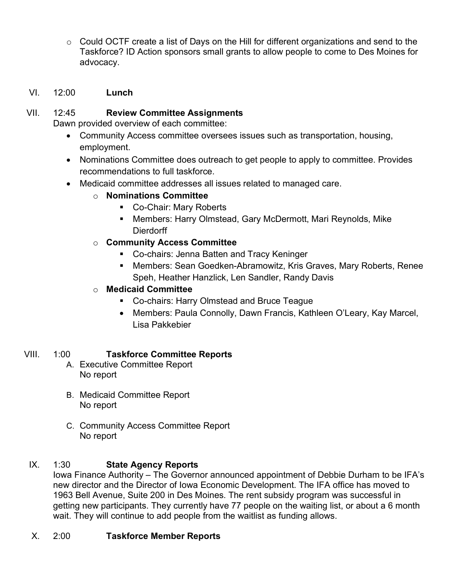o Could OCTF create a list of Days on the Hill for different organizations and send to the Taskforce? ID Action sponsors small grants to allow people to come to Des Moines for advocacy.

## VI. 12:00 **Lunch**

### VII. 12:45 **Review Committee Assignments**

Dawn provided overview of each committee:

- Community Access committee oversees issues such as transportation, housing, employment.
- Nominations Committee does outreach to get people to apply to committee. Provides recommendations to full taskforce.
- Medicaid committee addresses all issues related to managed care.
	- o **Nominations Committee**
		- Co-Chair: Mary Roberts
		- Members: Harry Olmstead, Gary McDermott, Mari Reynolds, Mike Dierdorff
	- o **Community Access Committee**
		- Co-chairs: Jenna Batten and Tracy Keninger
		- § Members: Sean Goedken-Abramowitz, Kris Graves, Mary Roberts, Renee Speh, Heather Hanzlick, Len Sandler, Randy Davis

# o **Medicaid Committee**

- Co-chairs: Harry Olmstead and Bruce Teague
- Members: Paula Connolly, Dawn Francis, Kathleen O'Leary, Kay Marcel, Lisa Pakkebier

### VIII. 1:00 **Taskforce Committee Reports**

- A. Executive Committee Report No report
- B. Medicaid Committee Report No report
- C. Community Access Committee Report No report

# IX. 1:30 **State Agency Reports**

Iowa Finance Authority – The Governor announced appointment of Debbie Durham to be IFA's new director and the Director of Iowa Economic Development. The IFA office has moved to 1963 Bell Avenue, Suite 200 in Des Moines. The rent subsidy program was successful in getting new participants. They currently have 77 people on the waiting list, or about a 6 month wait. They will continue to add people from the waitlist as funding allows.

### X. 2:00 **Taskforce Member Reports**